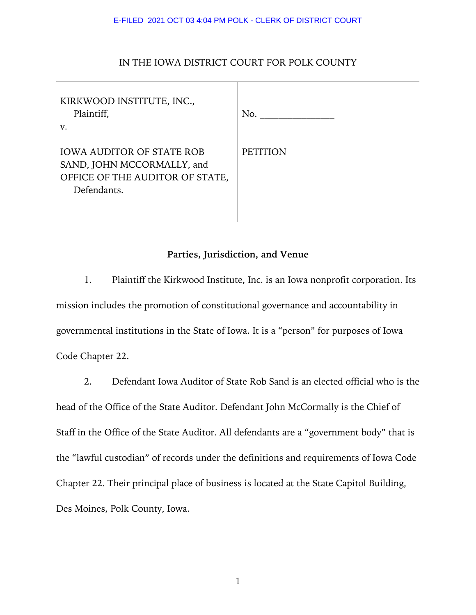# IN THE IOWA DISTRICT COURT FOR POLK COUNTY

| KIRKWOOD INSTITUTE, INC.,<br>Plaintiff,<br>V.                                                                    | No.             |
|------------------------------------------------------------------------------------------------------------------|-----------------|
| <b>IOWA AUDITOR OF STATE ROB</b><br>SAND, JOHN MCCORMALLY, and<br>OFFICE OF THE AUDITOR OF STATE,<br>Defendants. | <b>PETITION</b> |

# **Parties, Jurisdiction, and Venue**

1. Plaintiff the Kirkwood Institute, Inc. is an Iowa nonprofit corporation. Its mission includes the promotion of constitutional governance and accountability in governmental institutions in the State of Iowa. It is a "person" for purposes of Iowa Code Chapter 22.

2. Defendant Iowa Auditor of State Rob Sand is an elected official who is the head of the Office of the State Auditor. Defendant John McCormally is the Chief of Staff in the Office of the State Auditor. All defendants are a "government body" that is the "lawful custodian" of records under the definitions and requirements of Iowa Code Chapter 22. Their principal place of business is located at the State Capitol Building, Des Moines, Polk County, Iowa.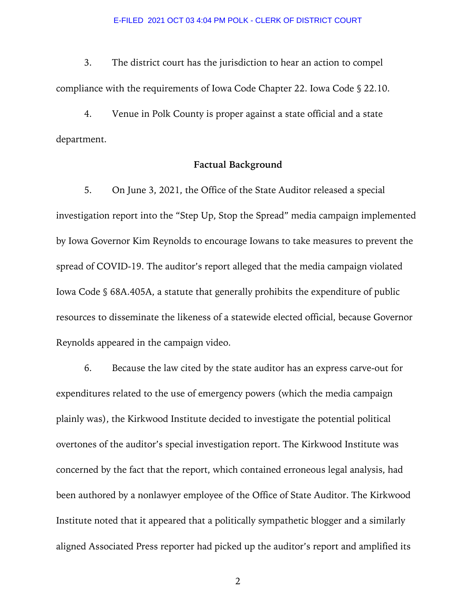3. The district court has the jurisdiction to hear an action to compel compliance with the requirements of Iowa Code Chapter 22. Iowa Code § 22.10.

4. Venue in Polk County is proper against a state official and a state department.

### **Factual Background**

5. On June 3, 2021, the Office of the State Auditor released a special investigation report into the "Step Up, Stop the Spread" media campaign implemented by Iowa Governor Kim Reynolds to encourage Iowans to take measures to prevent the spread of COVID-19. The auditor's report alleged that the media campaign violated Iowa Code § 68A.405A, a statute that generally prohibits the expenditure of public resources to disseminate the likeness of a statewide elected official, because Governor Reynolds appeared in the campaign video.

6. Because the law cited by the state auditor has an express carve-out for expenditures related to the use of emergency powers (which the media campaign plainly was), the Kirkwood Institute decided to investigate the potential political overtones of the auditor's special investigation report. The Kirkwood Institute was concerned by the fact that the report, which contained erroneous legal analysis, had been authored by a nonlawyer employee of the Office of State Auditor. The Kirkwood Institute noted that it appeared that a politically sympathetic blogger and a similarly aligned Associated Press reporter had picked up the auditor's report and amplified its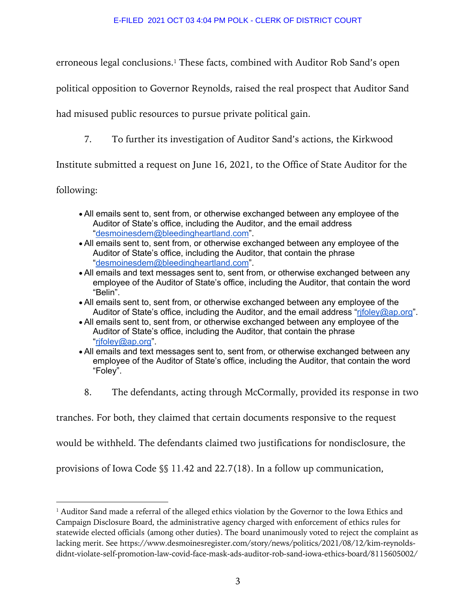erroneous legal conclusions.1 These facts, combined with Auditor Rob Sand's open

political opposition to Governor Reynolds, raised the real prospect that Auditor Sand

had misused public resources to pursue private political gain.

7. To further its investigation of Auditor Sand's actions, the Kirkwood

Institute submitted a request on June 16, 2021, to the Office of State Auditor for the

following:

- All emails sent to, sent from, or otherwise exchanged between any employee of the Auditor of State's office, including the Auditor, and the email address "desmoinesdem@bleedingheartland.com".
- All emails sent to, sent from, or otherwise exchanged between any employee of the Auditor of State's office, including the Auditor, that contain the phrase "desmoinesdem@bleedingheartland.com".
- All emails and text messages sent to, sent from, or otherwise exchanged between any employee of the Auditor of State's office, including the Auditor, that contain the word "Belin".
- All emails sent to, sent from, or otherwise exchanged between any employee of the Auditor of State's office, including the Auditor, and the email address "rifoley@ap.org".
- All emails sent to, sent from, or otherwise exchanged between any employee of the Auditor of State's office, including the Auditor, that contain the phrase "rjfoley@ap.org".
- All emails and text messages sent to, sent from, or otherwise exchanged between any employee of the Auditor of State's office, including the Auditor, that contain the word "Foley".
- 8. The defendants, acting through McCormally, provided its response in two

tranches. For both, they claimed that certain documents responsive to the request

would be withheld. The defendants claimed two justifications for nondisclosure, the

provisions of Iowa Code §§ 11.42 and 22.7(18). In a follow up communication,

<sup>&</sup>lt;sup>1</sup> Auditor Sand made a referral of the alleged ethics violation by the Governor to the Iowa Ethics and Campaign Disclosure Board, the administrative agency charged with enforcement of ethics rules for statewide elected officials (among other duties). The board unanimously voted to reject the complaint as lacking merit. See https://www.desmoinesregister.com/story/news/politics/2021/08/12/kim-reynoldsdidnt-violate-self-promotion-law-covid-face-mask-ads-auditor-rob-sand-iowa-ethics-board/8115605002/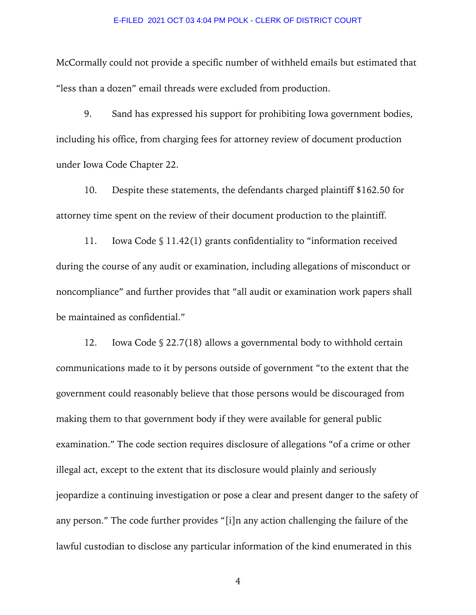McCormally could not provide a specific number of withheld emails but estimated that "less than a dozen" email threads were excluded from production.

9. Sand has expressed his support for prohibiting Iowa government bodies, including his office, from charging fees for attorney review of document production under Iowa Code Chapter 22.

10. Despite these statements, the defendants charged plaintiff \$162.50 for attorney time spent on the review of their document production to the plaintiff.

11. Iowa Code § 11.42(1) grants confidentiality to "information received during the course of any audit or examination, including allegations of misconduct or noncompliance" and further provides that "all audit or examination work papers shall be maintained as confidential."

12. Iowa Code § 22.7(18) allows a governmental body to withhold certain communications made to it by persons outside of government "to the extent that the government could reasonably believe that those persons would be discouraged from making them to that government body if they were available for general public examination." The code section requires disclosure of allegations "of a crime or other illegal act, except to the extent that its disclosure would plainly and seriously jeopardize a continuing investigation or pose a clear and present danger to the safety of any person." The code further provides "[i]n any action challenging the failure of the lawful custodian to disclose any particular information of the kind enumerated in this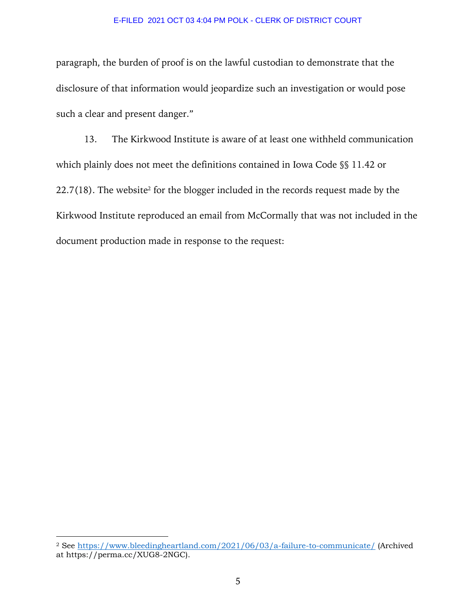paragraph, the burden of proof is on the lawful custodian to demonstrate that the disclosure of that information would jeopardize such an investigation or would pose such a clear and present danger."

13. The Kirkwood Institute is aware of at least one withheld communication which plainly does not meet the definitions contained in Iowa Code §§ 11.42 or  $22.7(18)$ . The website<sup>2</sup> for the blogger included in the records request made by the Kirkwood Institute reproduced an email from McCormally that was not included in the document production made in response to the request:

<sup>2</sup> See https://www.bleedingheartland.com/2021/06/03/a-failure-to-communicate/ (Archived at https://perma.cc/XUG8-2NGC).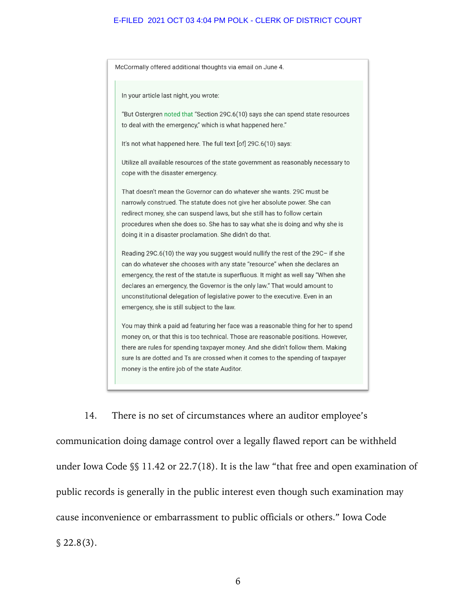McCormally offered additional thoughts via email on June 4. In your article last night, you wrote: "But Ostergren noted that "Section 29C.6(10) says she can spend state resources to deal with the emergency," which is what happened here." It's not what happened here. The full text [of] 29C.6(10) says: Utilize all available resources of the state government as reasonably necessary to cope with the disaster emergency. That doesn't mean the Governor can do whatever she wants. 29C must be narrowly construed. The statute does not give her absolute power. She can redirect money, she can suspend laws, but she still has to follow certain procedures when she does so. She has to say what she is doing and why she is doing it in a disaster proclamation. She didn't do that. Reading 29C.6(10) the way you suggest would nullify the rest of the 29C- if she can do whatever she chooses with any state "resource" when she declares an emergency, the rest of the statute is superfluous. It might as well say "When she declares an emergency, the Governor is the only law." That would amount to unconstitutional delegation of legislative power to the executive. Even in an emergency, she is still subject to the law. You may think a paid ad featuring her face was a reasonable thing for her to spend money on, or that this is too technical. Those are reasonable positions. However, there are rules for spending taxpayer money. And she didn't follow them. Making sure Is are dotted and Ts are crossed when it comes to the spending of taxpayer money is the entire job of the state Auditor.

14. There is no set of circumstances where an auditor employee's communication doing damage control over a legally flawed report can be withheld under Iowa Code §§ 11.42 or 22.7(18). It is the law "that free and open examination of public records is generally in the public interest even though such examination may cause inconvenience or embarrassment to public officials or others." Iowa Code  $$22.8(3).$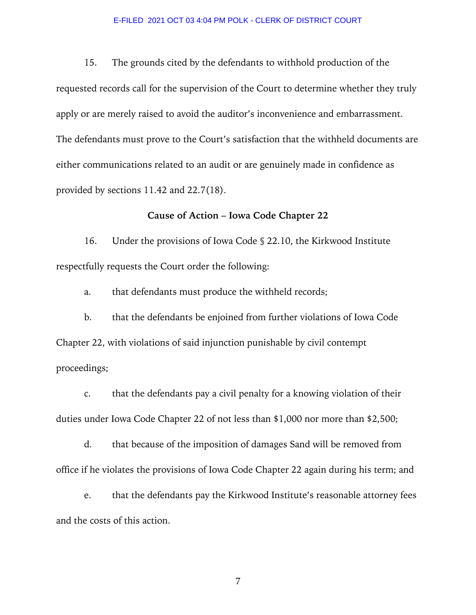15. The grounds cited by the defendants to withhold production of the requested records call for the supervision of the Court to determine whether they truly apply or are merely raised to avoid the auditor's inconvenience and embarrassment. The defendants must prove to the Court's satisfaction that the withheld documents are either communications related to an audit or are genuinely made in confidence as provided by sections 11.42 and 22.7(18).

# **Cause of Action – Iowa Code Chapter 22**

16. Under the provisions of Iowa Code § 22.10, the Kirkwood Institute respectfully requests the Court order the following:

a. that defendants must produce the withheld records;

b. that the defendants be enjoined from further violations of Iowa Code Chapter 22, with violations of said injunction punishable by civil contempt proceedings;

c. that the defendants pay a civil penalty for a knowing violation of their duties under Iowa Code Chapter 22 of not less than \$1,000 nor more than \$2,500;

d. that because of the imposition of damages Sand will be removed from office if he violates the provisions of Iowa Code Chapter 22 again during his term; and

e. that the defendants pay the Kirkwood Institute's reasonable attorney fees and the costs of this action.